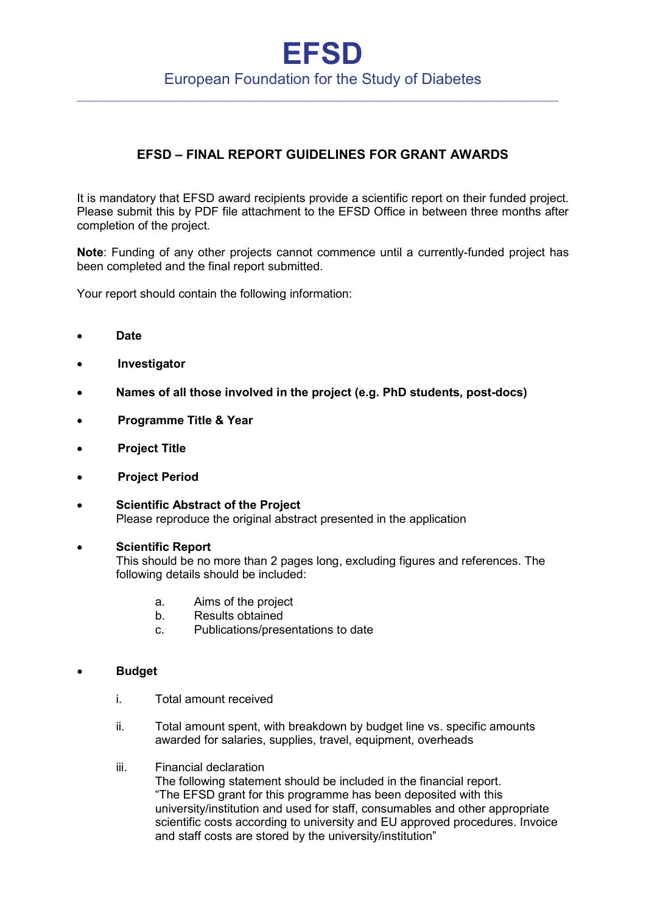## **EFSD** European Foundation for the Study of Diabetes

 $\_$  , and the set of the set of the set of the set of the set of the set of the set of the set of the set of the set of the set of the set of the set of the set of the set of the set of the set of the set of the set of th

## **EFSD – FINAL REPORT GUIDELINES FOR GRANT AWARDS**

It is mandatory that EFSD award recipients provide a scientific report on their funded project. Please submit this by PDF file attachment to the EFSD Office in between three months after completion of the project.

**Note**: Funding of any other projects cannot commence until a currently-funded project has been completed and the final report submitted.

Your report should contain the following information:

- **Date**
- • **Investigator**
- **Names of all those involved in the project (e.g. PhD students, post-docs)**
- • **Programme Title & Year**
- • **Project Title**
- • **Project Period**
- **Scientific Abstract of the Project** Please reproduce the original abstract presented in the application
	- **Scientific Report** This should be no more than 2 pages long, excluding figures and references. The following details should be included:
		- a. Aims of the project
		- b. Results obtained
		- c. Publications/presentations to date

## • **Budget**

- i. Total amount received
- ii. Total amount spent, with breakdown by budget line vs. specific amounts awarded for salaries, supplies, travel, equipment, overheads
- iii. Financial declaration

The following statement should be included in the financial report. "The EFSD grant for this programme has been deposited with this university/institution and used for staff, consumables and other appropriate scientific costs according to university and EU approved procedures. Invoice and staff costs are stored by the university/institution"